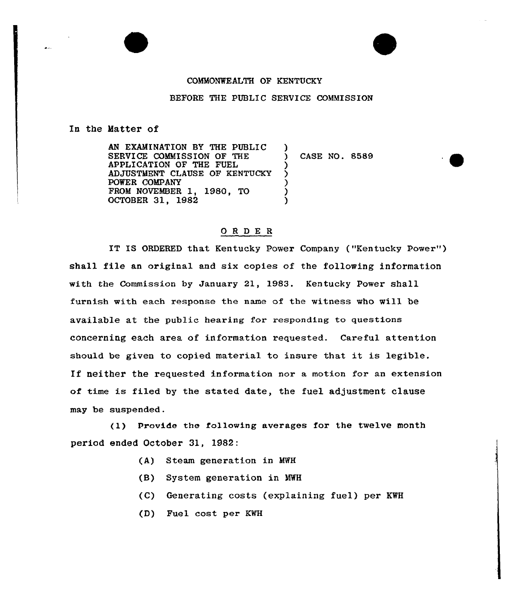## COMMONWEALTH OP KENTUCKY

## BEFORE THE PUBLIC SERVICE COMMISSION

)

) ز<br>? ) ) )

## En the Hatter of

AN EXAMINATION BY THE PUBLIC SERVICE COMMISSION OP THE APPLICATION OP THE FUEL ADJUSTMENT CLAUSE OP KENTUCKY POWER COMPANY FROM NOVEMBER 1, 1980, TO OCTOBER 31, 1982

) CASE NO. 8589

## ORDER

IT IS ORDERED that Kentucky Power Company ("Kentucky Powex") shall file an original and six copies of the following information with the Commission by January 21, 1983. Kentucky Powex shall furnish with each response the name of the witness who will be available at the public hearing for responding to questions concerning each area of information requested. Careful attention should be given to copied material to insure that it is legible. If neither the requested information nor a motion for an extension of time is filed by the stated date, the fuel adjustment clause may be suspended.

(1) Provide the fo11owing averages for the twelve month period ended October 31, 1982:

- (A) Steam generation in MWH
- (8) System generation in MWH
- (C) Generating costs (explaining fuel) per KWH
- (D) Fuel cost per KWH